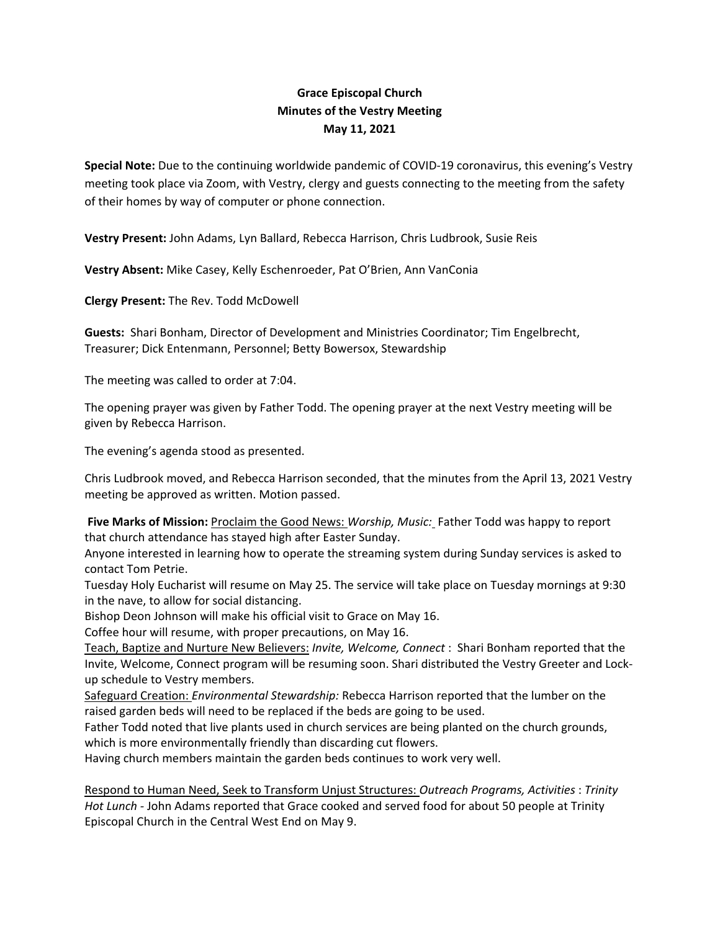## **Grace Episcopal Church Minutes of the Vestry Meeting May 11, 2021**

**Special Note:** Due to the continuing worldwide pandemic of COVID‐19 coronavirus, this evening's Vestry meeting took place via Zoom, with Vestry, clergy and guests connecting to the meeting from the safety of their homes by way of computer or phone connection.

**Vestry Present:** John Adams, Lyn Ballard, Rebecca Harrison, Chris Ludbrook, Susie Reis

**Vestry Absent:** Mike Casey, Kelly Eschenroeder, Pat O'Brien, Ann VanConia

**Clergy Present:** The Rev. Todd McDowell

**Guests:** Shari Bonham, Director of Development and Ministries Coordinator; Tim Engelbrecht, Treasurer; Dick Entenmann, Personnel; Betty Bowersox, Stewardship

The meeting was called to order at 7:04.

The opening prayer was given by Father Todd. The opening prayer at the next Vestry meeting will be given by Rebecca Harrison.

The evening's agenda stood as presented.

Chris Ludbrook moved, and Rebecca Harrison seconded, that the minutes from the April 13, 2021 Vestry meeting be approved as written. Motion passed.

**Five Marks of Mission:** Proclaim the Good News: *Worship, Music:* Father Todd was happy to report that church attendance has stayed high after Easter Sunday.

Anyone interested in learning how to operate the streaming system during Sunday services is asked to contact Tom Petrie.

Tuesday Holy Eucharist will resume on May 25. The service will take place on Tuesday mornings at 9:30 in the nave, to allow for social distancing.

Bishop Deon Johnson will make his official visit to Grace on May 16.

Coffee hour will resume, with proper precautions, on May 16.

Teach, Baptize and Nurture New Believers: *Invite, Welcome, Connect* : Shari Bonham reported that the Invite, Welcome, Connect program will be resuming soon. Shari distributed the Vestry Greeter and Lock‐ up schedule to Vestry members.

Safeguard Creation: *Environmental Stewardship:* Rebecca Harrison reported that the lumber on the raised garden beds will need to be replaced if the beds are going to be used.

Father Todd noted that live plants used in church services are being planted on the church grounds, which is more environmentally friendly than discarding cut flowers.

Having church members maintain the garden beds continues to work very well.

Respond to Human Need, Seek to Transform Unjust Structures: *Outreach Programs, Activities* : *Trinity Hot Lunch ‐* John Adams reported that Grace cooked and served food for about 50 people at Trinity Episcopal Church in the Central West End on May 9.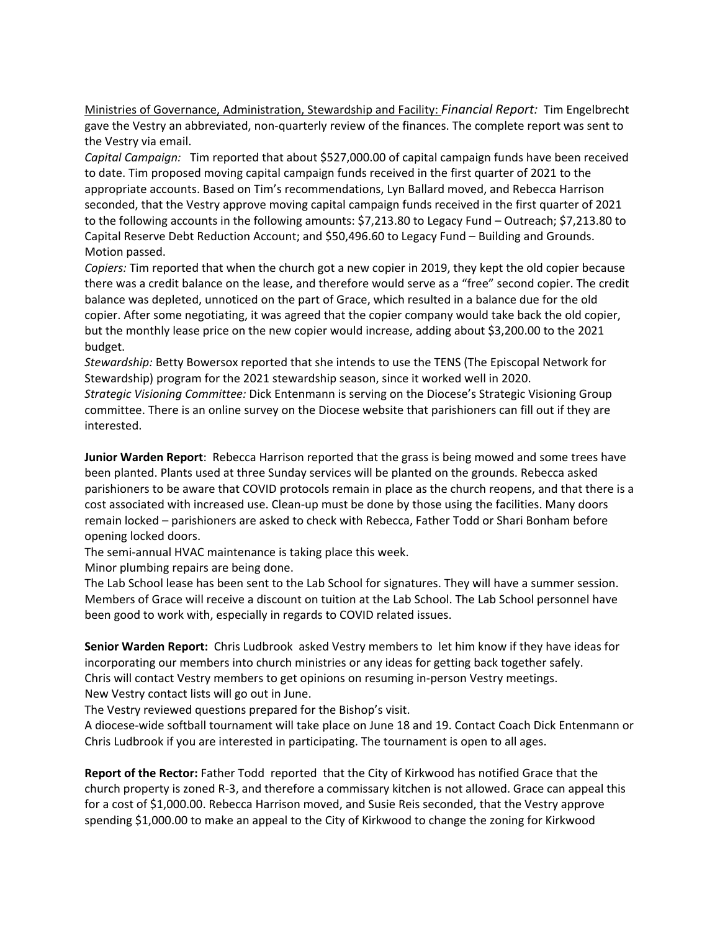Ministries of Governance, Administration, Stewardship and Facility: *Financial Report:* Tim Engelbrecht gave the Vestry an abbreviated, non‐quarterly review of the finances. The complete report was sent to the Vestry via email.

*Capital Campaign:* Tim reported that about \$527,000.00 of capital campaign funds have been received to date. Tim proposed moving capital campaign funds received in the first quarter of 2021 to the appropriate accounts. Based on Tim's recommendations, Lyn Ballard moved, and Rebecca Harrison seconded, that the Vestry approve moving capital campaign funds received in the first quarter of 2021 to the following accounts in the following amounts: \$7,213.80 to Legacy Fund – Outreach; \$7,213.80 to Capital Reserve Debt Reduction Account; and \$50,496.60 to Legacy Fund – Building and Grounds. Motion passed.

*Copiers:* Tim reported that when the church got a new copier in 2019, they kept the old copier because there was a credit balance on the lease, and therefore would serve as a "free" second copier. The credit balance was depleted, unnoticed on the part of Grace, which resulted in a balance due for the old copier. After some negotiating, it was agreed that the copier company would take back the old copier, but the monthly lease price on the new copier would increase, adding about \$3,200.00 to the 2021 budget.

*Stewardship:* Betty Bowersox reported that she intends to use the TENS (The Episcopal Network for Stewardship) program for the 2021 stewardship season, since it worked well in 2020.

*Strategic Visioning Committee:* Dick Entenmann is serving on the Diocese's Strategic Visioning Group committee. There is an online survey on the Diocese website that parishioners can fill out if they are interested.

**Junior Warden Report**: Rebecca Harrison reported that the grass is being mowed and some trees have been planted. Plants used at three Sunday services will be planted on the grounds. Rebecca asked parishioners to be aware that COVID protocols remain in place as the church reopens, and that there is a cost associated with increased use. Clean‐up must be done by those using the facilities. Many doors remain locked – parishioners are asked to check with Rebecca, Father Todd or Shari Bonham before opening locked doors.

The semi-annual HVAC maintenance is taking place this week.

Minor plumbing repairs are being done.

The Lab School lease has been sent to the Lab School for signatures. They will have a summer session. Members of Grace will receive a discount on tuition at the Lab School. The Lab School personnel have been good to work with, especially in regards to COVID related issues.

**Senior Warden Report:** Chris Ludbrook asked Vestry members to let him know if they have ideas for incorporating our members into church ministries or any ideas for getting back together safely. Chris will contact Vestry members to get opinions on resuming in‐person Vestry meetings. New Vestry contact lists will go out in June.

The Vestry reviewed questions prepared for the Bishop's visit.

A diocese‐wide softball tournament will take place on June 18 and 19. Contact Coach Dick Entenmann or Chris Ludbrook if you are interested in participating. The tournament is open to all ages.

**Report of the Rector:** Father Todd reported that the City of Kirkwood has notified Grace that the church property is zoned R‐3, and therefore a commissary kitchen is not allowed. Grace can appeal this for a cost of \$1,000.00. Rebecca Harrison moved, and Susie Reis seconded, that the Vestry approve spending \$1,000.00 to make an appeal to the City of Kirkwood to change the zoning for Kirkwood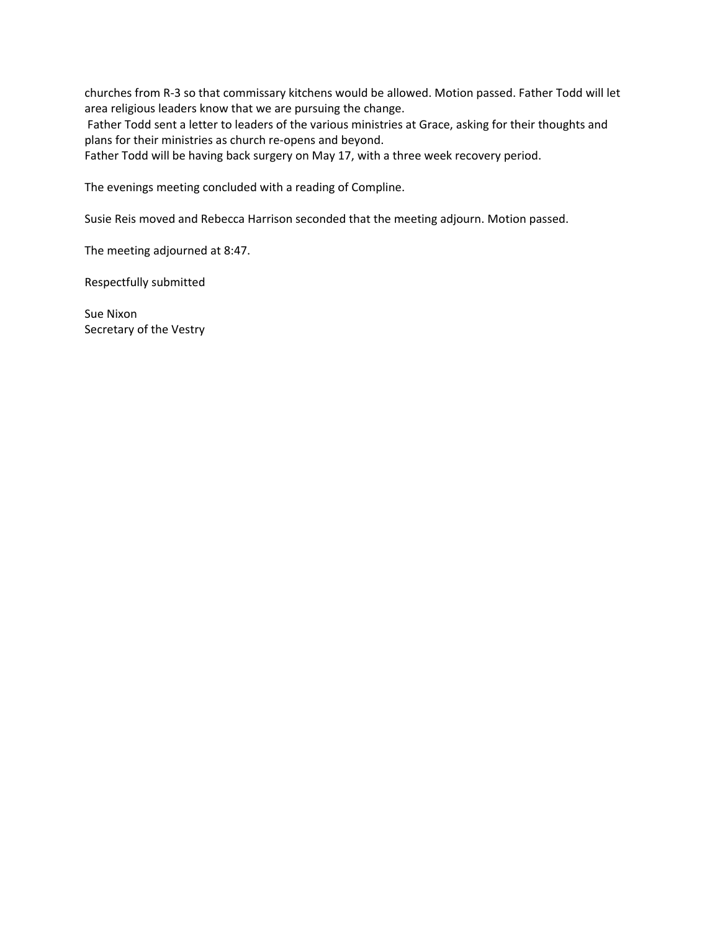churches from R‐3 so that commissary kitchens would be allowed. Motion passed. Father Todd will let area religious leaders know that we are pursuing the change.

Father Todd sent a letter to leaders of the various ministries at Grace, asking for their thoughts and plans for their ministries as church re‐opens and beyond.

Father Todd will be having back surgery on May 17, with a three week recovery period.

The evenings meeting concluded with a reading of Compline.

Susie Reis moved and Rebecca Harrison seconded that the meeting adjourn. Motion passed.

The meeting adjourned at 8:47.

Respectfully submitted

Sue Nixon Secretary of the Vestry